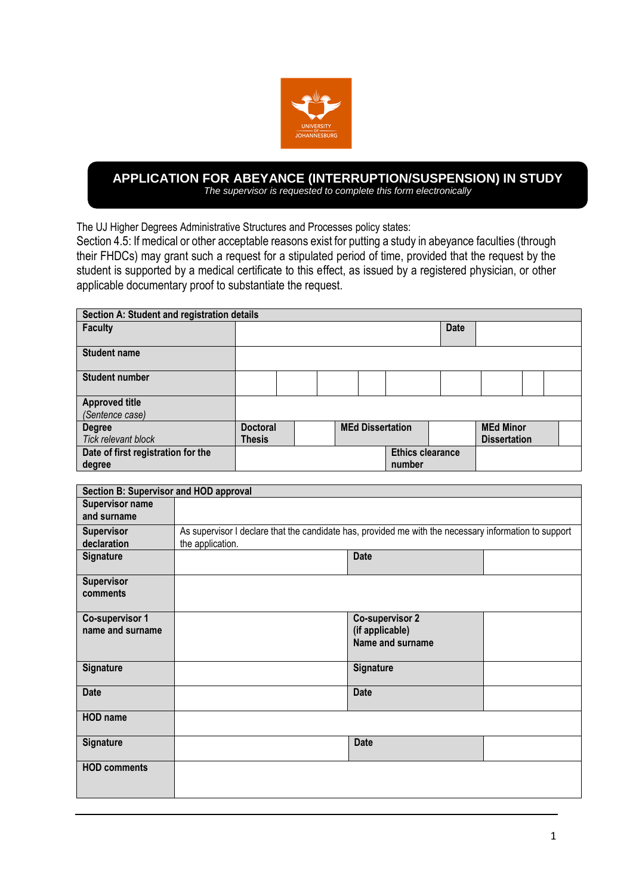

## **? APPLICATION FOR ABEYANCE (INTERRUPTION/SUSPENSION) IN STUDY** *The supervisor is requested to complete this form electronically*

The UJ Higher Degrees Administrative Structures and Processes policy states:

Section 4.5: If medical or other acceptable reasons exist for putting a study in abeyance faculties (through their FHDCs) may grant such a request for a stipulated period of time, provided that the request by the student is supported by a medical certificate to this effect, as issued by a registered physician, or other applicable documentary proof to substantiate the request.

| Section A: Student and registration details |                 |  |  |                         |                         |             |                     |  |  |
|---------------------------------------------|-----------------|--|--|-------------------------|-------------------------|-------------|---------------------|--|--|
| <b>Faculty</b>                              |                 |  |  |                         |                         | <b>Date</b> |                     |  |  |
| <b>Student name</b>                         |                 |  |  |                         |                         |             |                     |  |  |
| <b>Student number</b>                       |                 |  |  |                         |                         |             |                     |  |  |
| <b>Approved title</b>                       |                 |  |  |                         |                         |             |                     |  |  |
| (Sentence case)                             |                 |  |  |                         |                         |             |                     |  |  |
| <b>Degree</b>                               | <b>Doctoral</b> |  |  | <b>MEd Dissertation</b> |                         |             | <b>MEd Minor</b>    |  |  |
| <b>Tick relevant block</b>                  | <b>Thesis</b>   |  |  |                         |                         |             | <b>Dissertation</b> |  |  |
| Date of first registration for the          |                 |  |  |                         | <b>Ethics clearance</b> |             |                     |  |  |
| degree                                      |                 |  |  |                         | number                  |             |                     |  |  |

| Section B: Supervisor and HOD approval |                                                                                                       |                        |  |  |  |  |  |
|----------------------------------------|-------------------------------------------------------------------------------------------------------|------------------------|--|--|--|--|--|
| <b>Supervisor name</b>                 |                                                                                                       |                        |  |  |  |  |  |
| and surname                            |                                                                                                       |                        |  |  |  |  |  |
| Supervisor                             | As supervisor I declare that the candidate has, provided me with the necessary information to support |                        |  |  |  |  |  |
| declaration                            | the application.                                                                                      |                        |  |  |  |  |  |
| <b>Signature</b>                       |                                                                                                       | <b>Date</b>            |  |  |  |  |  |
| Supervisor                             |                                                                                                       |                        |  |  |  |  |  |
| comments                               |                                                                                                       |                        |  |  |  |  |  |
| <b>Co-supervisor 1</b>                 |                                                                                                       | <b>Co-supervisor 2</b> |  |  |  |  |  |
| name and surname                       |                                                                                                       | (if applicable)        |  |  |  |  |  |
|                                        |                                                                                                       | Name and surname       |  |  |  |  |  |
|                                        |                                                                                                       |                        |  |  |  |  |  |
| <b>Signature</b>                       |                                                                                                       | Signature              |  |  |  |  |  |
| <b>Date</b>                            |                                                                                                       | <b>Date</b>            |  |  |  |  |  |
|                                        |                                                                                                       |                        |  |  |  |  |  |
| <b>HOD</b> name                        |                                                                                                       |                        |  |  |  |  |  |
| <b>Signature</b>                       |                                                                                                       | <b>Date</b>            |  |  |  |  |  |
| <b>HOD comments</b>                    |                                                                                                       |                        |  |  |  |  |  |
|                                        |                                                                                                       |                        |  |  |  |  |  |
|                                        |                                                                                                       |                        |  |  |  |  |  |
|                                        |                                                                                                       |                        |  |  |  |  |  |